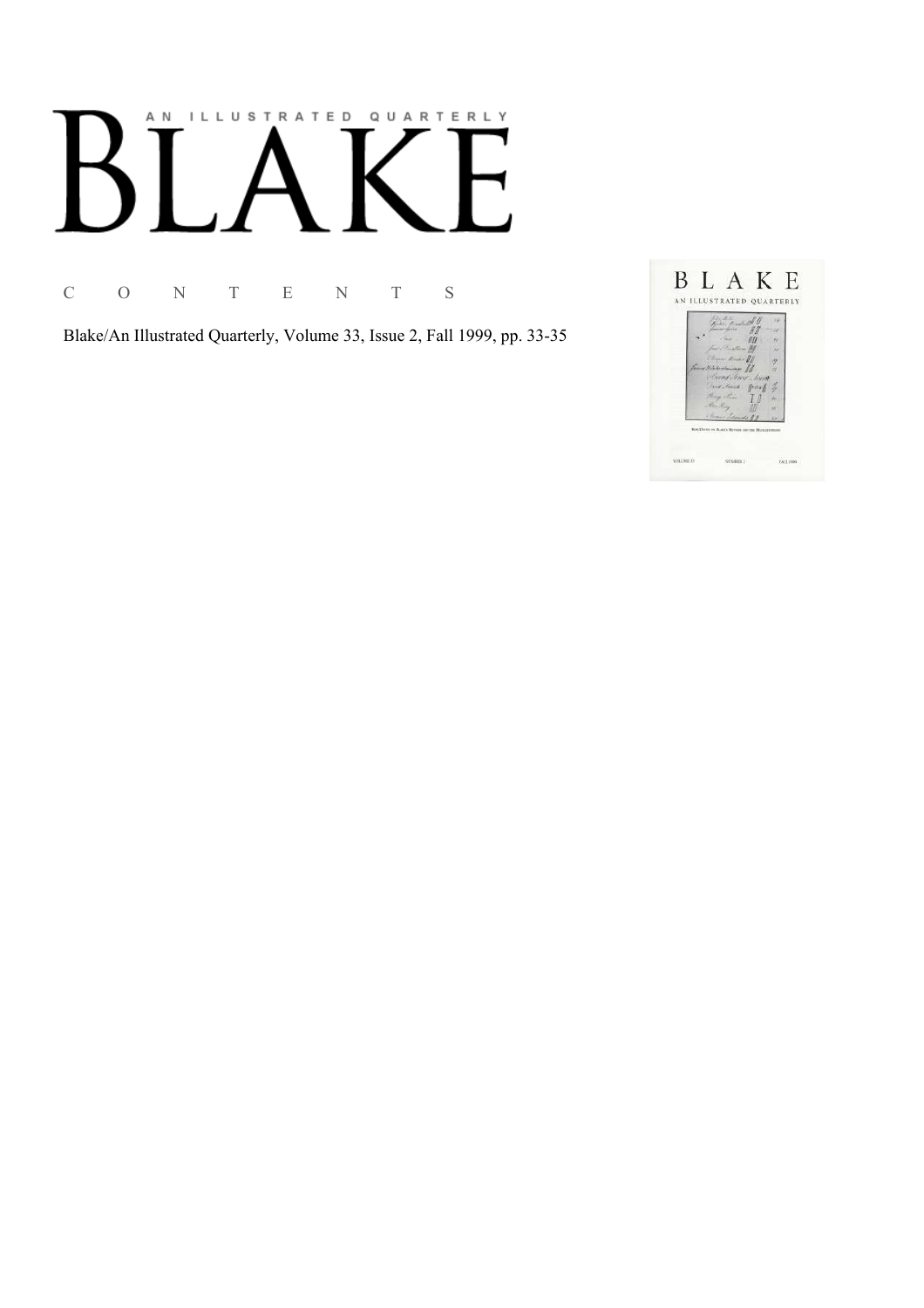# AN ILLUSTRATED QUARTERLY

C O N T E N T S

Blake/An Illustrated Quarterly, Volume 33, Issue 2, Fall 1999, pp. 33-35

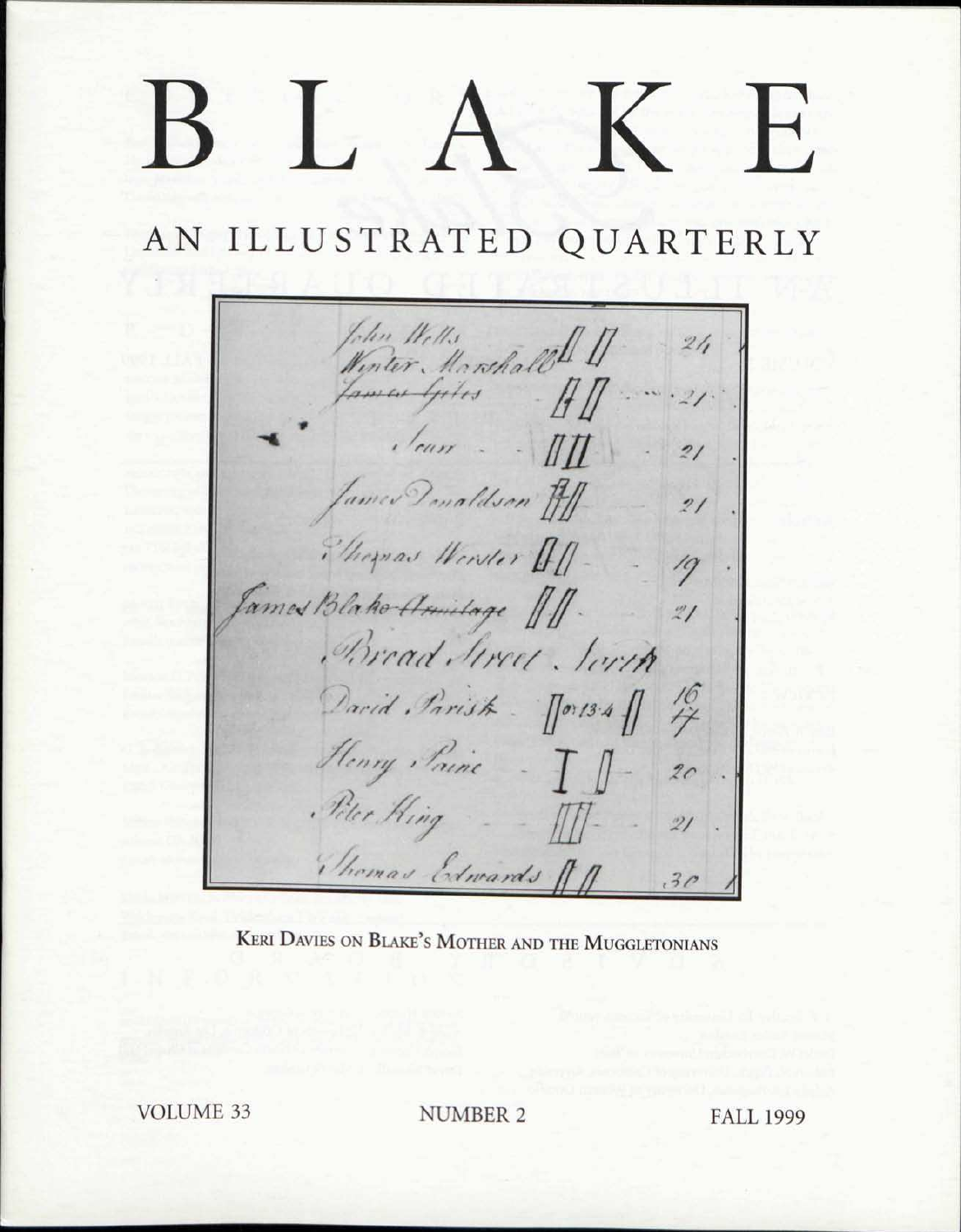# T.  $\mathbf{H}$

## AN ILLUSTRATED QUARTERLY

John Wells<br>Winter Marshall !!<br>Lamen Gites ...  $21/$  $\frac{1}{\sqrt{a}}$ James Donaldson HI  $21$ Phopsas Worder 01- $\frac{1}{2}$ Tames Blake Armilage 11.  $\overline{21}$ Bread Street South  $\frac{16}{7}$ David Parist - Morts 4 Henry Paine - I  $2c$ Peter Hing - III- $\mathcal{Z}I$ Thomas Edwards An  $30^{1}$ 

KERI DAVIES ON BLAKE'S MOTHER AND THE MUGGLETONIANS

**VOLUME 33** 

**NUMBER 2** 

**FALL 1999**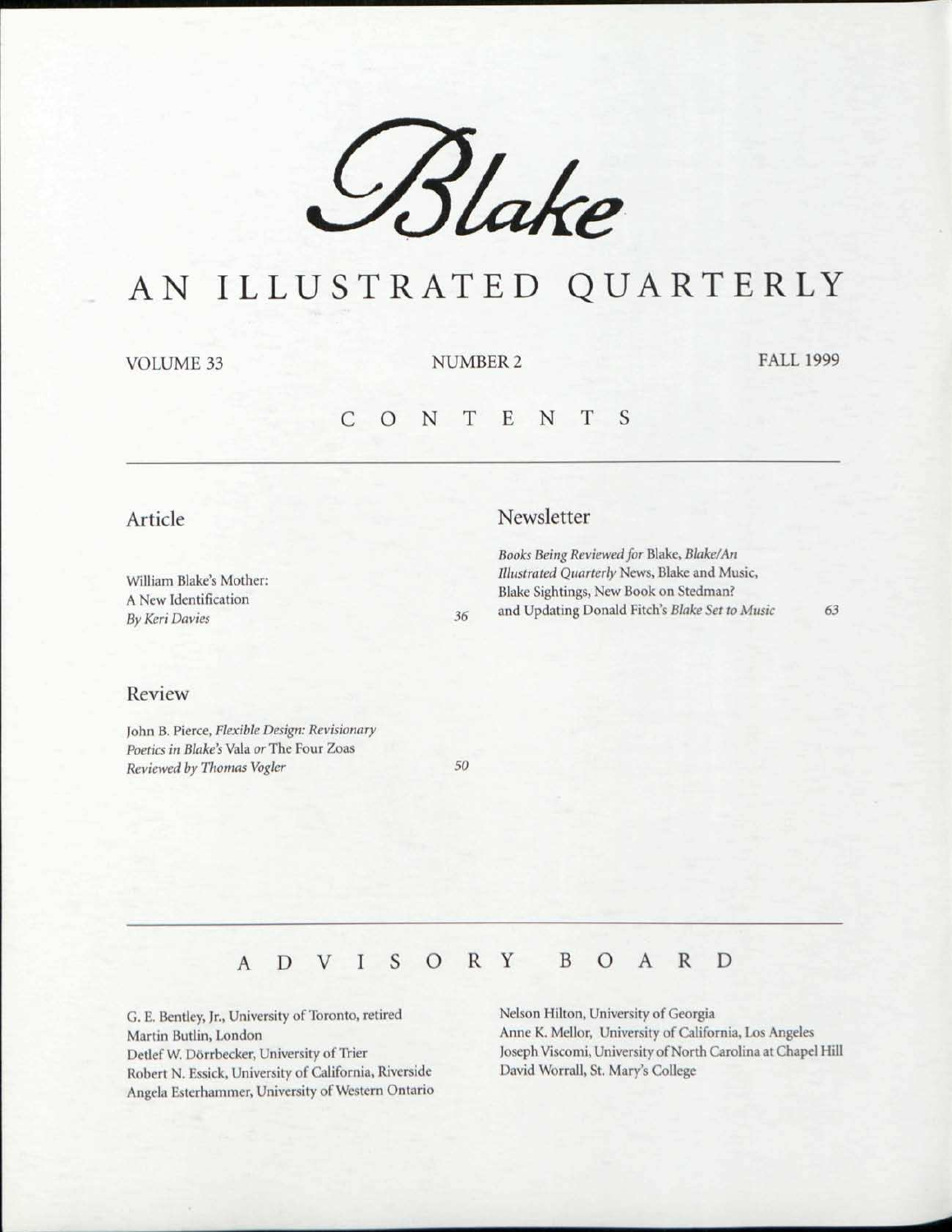

## AN ILLUSTRATED QUARTERLY

VOLUME 33 NUMBER 2 FALL 1999

#### C O N T E N T S

#### Article

William Blake's Mother: A New Identification *By Keri Davies 36* 

#### Review

John B. Pierce, *Flexible Design: Revisionary Poetics in Blake's* Vala *or* The Four Zoas *Reviewed by Thomas Vogler 50* 

### Newsletter

*Books Being Reviewed for* Blake, *Blake/An Illustrated Quarterly* News, Blake and Music, Blake Sightings, New Book on Stedman? and Updating Donald Fitch's *Blake Set to Music 63* 

## ADVISOR Y BOAR D

G. E. Bentley, Jr., University of Toronto, retired Martin Butlin, London Detlef W. Dorrbecker, University of Trier Robert N. Essick, University of California, Riverside Angela Esterhammer, University of Western Ontario Nelson Hilton, University of Georgia Anne K. Mellor, University of California, Los Angeles Joseph Viscomi, University of North Carolina at Chapel Hill David Worrall, St. Mary's College